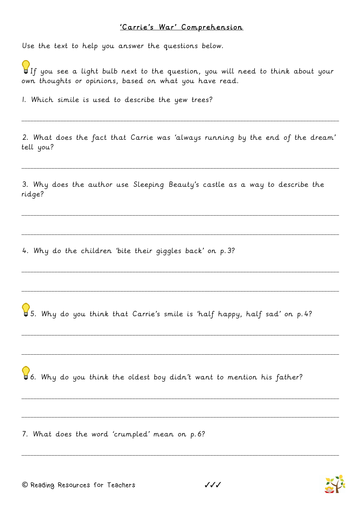## 'Carrie's War' Comprehension

Use the text to help you answer the questions below.

If you see a light bulb next to the question, you will need to think about your own thoughts or opinions, based on what you have read.

1. Which simile is used to describe the yew trees?

2. What does the fact that Carrie was 'always running by the end of the dream' tell you?

\_\_\_\_\_\_\_\_\_\_\_\_\_\_\_\_\_\_\_\_\_\_\_\_\_\_\_\_\_\_\_\_\_\_\_\_\_\_\_\_\_\_\_\_\_\_\_\_\_\_\_\_\_\_\_\_\_\_\_\_\_\_\_\_\_\_\_\_\_\_\_\_\_\_\_\_\_\_\_\_\_\_\_\_\_\_\_\_\_\_\_\_\_\_\_\_\_\_\_\_\_\_\_\_\_\_

\_\_\_\_\_\_\_\_\_\_\_\_\_\_\_\_\_\_\_\_\_\_\_\_\_\_\_\_\_\_\_\_\_\_\_\_\_\_\_\_\_\_\_\_\_\_\_\_\_\_\_\_\_\_\_\_\_\_\_\_\_\_\_\_\_\_\_\_\_\_\_\_\_\_\_\_\_\_\_\_\_\_\_\_\_\_\_\_\_\_\_\_\_\_\_\_\_\_\_\_\_\_\_\_\_\_

\_\_\_\_\_\_\_\_\_\_\_\_\_\_\_\_\_\_\_\_\_\_\_\_\_\_\_\_\_\_\_\_\_\_\_\_\_\_\_\_\_\_\_\_\_\_\_\_\_\_\_\_\_\_\_\_\_\_\_\_\_\_\_\_\_\_\_\_\_\_\_\_\_\_\_\_\_\_\_\_\_\_\_\_\_\_\_\_\_\_\_\_\_\_\_\_\_\_\_\_\_\_\_\_\_\_

\_\_\_\_\_\_\_\_\_\_\_\_\_\_\_\_\_\_\_\_\_\_\_\_\_\_\_\_\_\_\_\_\_\_\_\_\_\_\_\_\_\_\_\_\_\_\_\_\_\_\_\_\_\_\_\_\_\_\_\_\_\_\_\_\_\_\_\_\_\_\_\_\_\_\_\_\_\_\_\_\_\_\_\_\_\_\_\_\_\_\_\_\_\_\_\_\_\_\_\_\_\_\_\_\_\_

\_\_\_\_\_\_\_\_\_\_\_\_\_\_\_\_\_\_\_\_\_\_\_\_\_\_\_\_\_\_\_\_\_\_\_\_\_\_\_\_\_\_\_\_\_\_\_\_\_\_\_\_\_\_\_\_\_\_\_\_\_\_\_\_\_\_\_\_\_\_\_\_\_\_\_\_\_\_\_\_\_\_\_\_\_\_\_\_\_\_\_\_\_\_\_\_\_\_\_\_\_\_\_\_\_\_

\_\_\_\_\_\_\_\_\_\_\_\_\_\_\_\_\_\_\_\_\_\_\_\_\_\_\_\_\_\_\_\_\_\_\_\_\_\_\_\_\_\_\_\_\_\_\_\_\_\_\_\_\_\_\_\_\_\_\_\_\_\_\_\_\_\_\_\_\_\_\_\_\_\_\_\_\_\_\_\_\_\_\_\_\_\_\_\_\_\_\_\_\_\_\_\_\_\_\_\_\_\_\_\_\_\_

\_\_\_\_\_\_\_\_\_\_\_\_\_\_\_\_\_\_\_\_\_\_\_\_\_\_\_\_\_\_\_\_\_\_\_\_\_\_\_\_\_\_\_\_\_\_\_\_\_\_\_\_\_\_\_\_\_\_\_\_\_\_\_\_\_\_\_\_\_\_\_\_\_\_\_\_\_\_\_\_\_\_\_\_\_\_\_\_\_\_\_\_\_\_\_\_\_\_\_\_\_\_\_\_\_\_

\_\_\_\_\_\_\_\_\_\_\_\_\_\_\_\_\_\_\_\_\_\_\_\_\_\_\_\_\_\_\_\_\_\_\_\_\_\_\_\_\_\_\_\_\_\_\_\_\_\_\_\_\_\_\_\_\_\_\_\_\_\_\_\_\_\_\_\_\_\_\_\_\_\_\_\_\_\_\_\_\_\_\_\_\_\_\_\_\_\_\_\_\_\_\_\_\_\_\_\_\_\_\_\_\_\_

\_\_\_\_\_\_\_\_\_\_\_\_\_\_\_\_\_\_\_\_\_\_\_\_\_\_\_\_\_\_\_\_\_\_\_\_\_\_\_\_\_\_\_\_\_\_\_\_\_\_\_\_\_\_\_\_\_\_\_\_\_\_\_\_\_\_\_\_\_\_\_\_\_\_\_\_\_\_\_\_\_\_\_\_\_\_\_\_\_\_\_\_\_\_\_\_\_\_\_\_\_\_\_\_\_\_

\_\_\_\_\_\_\_\_\_\_\_\_\_\_\_\_\_\_\_\_\_\_\_\_\_\_\_\_\_\_\_\_\_\_\_\_\_\_\_\_\_\_\_\_\_\_\_\_\_\_\_\_\_\_\_\_\_\_\_\_\_\_\_\_\_\_\_\_\_\_\_\_\_\_\_\_\_\_\_\_\_\_\_\_\_\_\_\_\_\_\_\_\_\_\_\_\_\_\_\_\_\_\_\_\_\_

\_\_\_\_\_\_\_\_\_\_\_\_\_\_\_\_\_\_\_\_\_\_\_\_\_\_\_\_\_\_\_\_\_\_\_\_\_\_\_\_\_\_\_\_\_\_\_\_\_\_\_\_\_\_\_\_\_\_\_\_\_\_\_\_\_\_\_\_\_\_\_\_\_\_\_\_\_\_\_\_\_\_\_\_\_\_\_\_\_\_\_\_\_\_\_\_\_\_\_\_\_\_\_\_\_\_

3. Why does the author use Sleeping Beauty's castle as a way to describe the ridge?

4. Why do the children 'bite their giggles back' on p.3?

5. Why do you think that Carrie's smile is 'half happy, half sad' on p.4?

6. Why do you think the oldest boy didn't want to mention his father?

7. What does the word 'crumpled' mean on p.6?